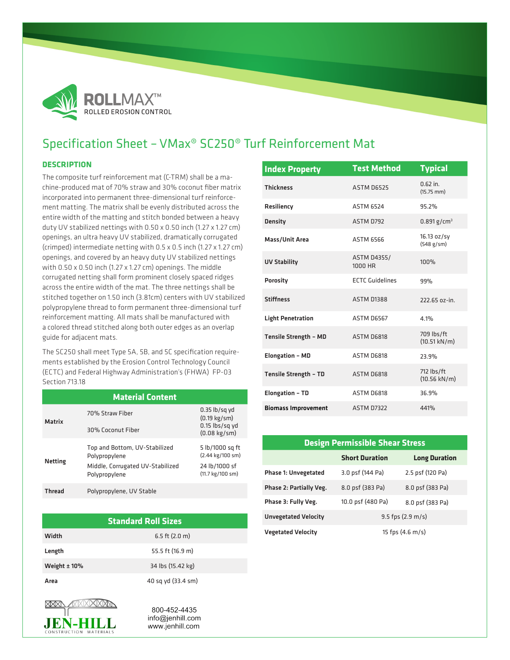

## Specification Sheet – VMax® SC250® Turf Reinforcement Mat

## **DESCRIPTION**

The composite turf reinforcement mat (C-TRM) shall be a machine-produced mat of 70% straw and 30% coconut fiber matrix incorporated into permanent three-dimensional turf reinforcement matting. The matrix shall be evenly distributed across the entire width of the matting and stitch bonded between a heavy duty UV stabilized nettings with 0.50 x 0.50 inch (1.27 x 1.27 cm) openings, an ultra heavy UV stabilized, dramatically corrugated (crimped) intermediate netting with 0.5 x 0.5 inch (1.27 x 1.27 cm) openings, and covered by an heavy duty UV stabilized nettings with 0.50 x 0.50 inch (1.27 x 1.27 cm) openings. The middle corrugated netting shall form prominent closely spaced ridges across the entire width of the mat. The three nettings shall be stitched together on 1.50 inch (3.81cm) centers with UV stabilized polypropylene thread to form permanent three-dimensional turf reinforcement matting. All mats shall be manufactured with a colored thread stitched along both outer edges as an overlap guide for adjacent mats.

The SC250 shall meet Type 5A, 5B, and 5C specification requirements established by the Erosion Control Technology Council (ECTC) and Federal Highway Administration's (FHWA) FP-03 Section 713.18

| <b>Material Content</b> |                                                                                                     |                                                                                         |  |  |
|-------------------------|-----------------------------------------------------------------------------------------------------|-----------------------------------------------------------------------------------------|--|--|
| Matrix                  | 70% Straw Fiher<br>30% Coconut Fiber                                                                | $0.35$ lb/sq yd<br>$(0.19 \text{ kg/sm})$<br>$0.15$ lbs/sq yd<br>$(0.08 \text{ kg/sm})$ |  |  |
| <b>Netting</b>          | Top and Bottom, UV-Stabilized<br>Polypropylene<br>Middle, Corrugated UV-Stabilized<br>Polypropylene | 5 lb/1000 sq ft<br>(2.44 kg/100 sm)<br>24 lb/1000 sf<br>(11.7 kg/100 sm)                |  |  |
| <b>Thread</b>           | Polypropylene, UV Stable                                                                            |                                                                                         |  |  |

| <b>Standard Roll Sizes</b> |                    |  |  |  |
|----------------------------|--------------------|--|--|--|
| Width                      | 6.5 ft $(2.0 m)$   |  |  |  |
| Length                     | 55.5 ft (16.9 m)   |  |  |  |
| Weight $± 10%$             | 34 lbs (15.42 kg)  |  |  |  |
| Area                       | 40 sq yd (33.4 sm) |  |  |  |



800-452-4435 info@jenhill.com www.jenhill.com

| <b>Index Property</b>        | <b>Test Method</b>            | <b>Typical</b>                       |
|------------------------------|-------------------------------|--------------------------------------|
| <b>Thickness</b>             | ASTM D6525                    | $0.62$ in.<br>$(15.75$ mm $)$        |
| Resiliency                   | <b>ASTM 6524</b>              | 95.2%                                |
| <b>Density</b>               | ASTM D792                     | $0.891$ g/cm <sup>3</sup>            |
| Mass/Unit Area               | <b>ASTM 6566</b>              | 16.13 oz/sy<br>(548 g/sm)            |
| <b>UV Stability</b>          | <b>ASTM D4355/</b><br>1000 HR | 100%                                 |
| <b>Porosity</b>              | <b>ECTC Guidelines</b>        | 99%                                  |
| <b>Stiffness</b>             | <b>ASTM D1388</b>             | 222.65 oz-in.                        |
| <b>Light Penetration</b>     | <b>ASTM D6567</b>             | 4.1%                                 |
| <b>Tensile Strength - MD</b> | ASTM D6818                    | 709 lbs/ft<br>$(10.51 \text{ kN/m})$ |
| <b>Elongation - MD</b>       | ASTM D6818                    | 23.9%                                |
| <b>Tensile Strength - TD</b> | ASTM D6818                    | 712 lbs/ft<br>$(10.56 \text{ kN/m})$ |
| <b>Elongation - TD</b>       | ASTM D6818                    | 36.9%                                |
| <b>Biomass Improvement</b>   | ASTM D7322                    | 441%                                 |

| <b>Design Permissible Shear Stress</b> |                            |                      |  |  |  |
|----------------------------------------|----------------------------|----------------------|--|--|--|
|                                        | <b>Short Duration</b>      | <b>Long Duration</b> |  |  |  |
| <b>Phase 1: Unvegetated</b>            | 3.0 psf (144 Pa)           | 2.5 psf (120 Pa)     |  |  |  |
| Phase 2: Partially Veg.                | 8.0 psf (383 Pa)           | 8.0 psf (383 Pa)     |  |  |  |
| Phase 3: Fully Veg.                    | 10.0 psf (480 Pa)          | 8.0 psf (383 Pa)     |  |  |  |
| <b>Unvegetated Velocity</b>            | $9.5$ fps (2.9 m/s)        |                      |  |  |  |
| <b>Vegetated Velocity</b>              | 15 fps $(4.6 \text{ m/s})$ |                      |  |  |  |